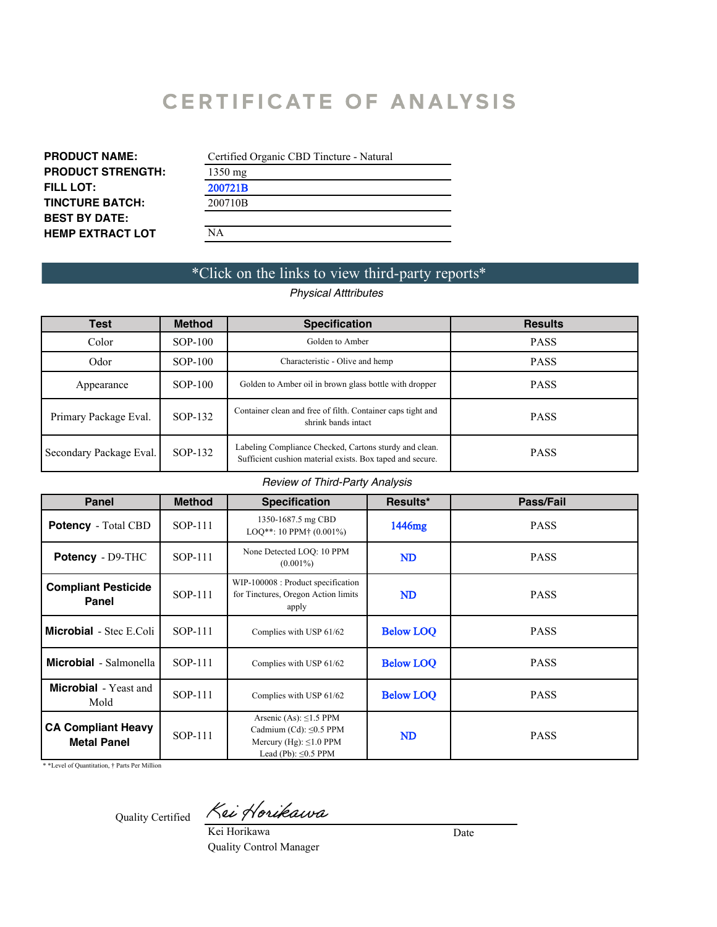# **CERTIFICATE OF ANALYSIS**

| <b>PRODUCT NAME:</b>     | Certified         |
|--------------------------|-------------------|
| <b>PRODUCT STRENGTH:</b> | $1350 \text{ mg}$ |
| <b>FILL LOT:</b>         |                   |
| <b>TINCTURE BATCH:</b>   |                   |
| <b>BEST BY DATE:</b>     | 06/29/20          |
|                          |                   |

| Certified Organic CBD Tincture - Natural |  |
|------------------------------------------|--|
| $1350 \text{ mg}$                        |  |
|                                          |  |
|                                          |  |
| 06/29/2022                               |  |
| NА                                       |  |

# \*Click on the links to view third-party reports\*

## *Physical Atttributes*

| <b>Test</b>             | <b>Method</b> | <b>Specification</b>                                                                                                | <b>Results</b> |
|-------------------------|---------------|---------------------------------------------------------------------------------------------------------------------|----------------|
| Color                   | $SOP-100$     | Golden to Amber                                                                                                     | <b>PASS</b>    |
| Odor                    | $SOP-100$     | Characteristic - Olive and hemp                                                                                     | <b>PASS</b>    |
| Appearance              | $SOP-100$     | Golden to Amber oil in brown glass bottle with dropper                                                              | <b>PASS</b>    |
| Primary Package Eval.   | SOP-132       | Container clean and free of filth. Container caps tight and<br>shrink bands intact                                  | <b>PASS</b>    |
| Secondary Package Eval. | SOP-132       | Labeling Compliance Checked, Cartons sturdy and clean.<br>Sufficient cushion material exists. Box taped and secure. | <b>PASS</b>    |

### *Review of Third-Party Analysis*

| <b>Panel</b>                                    | <b>Method</b>                                                                                                                        | <b>Specification</b>                                                               | Results*               | Pass/Fail   |
|-------------------------------------------------|--------------------------------------------------------------------------------------------------------------------------------------|------------------------------------------------------------------------------------|------------------------|-------------|
| <b>Potency</b> - Total CBD                      | SOP-111                                                                                                                              | 1350-1687.5 mg CBD<br>$LOO**$ : 10 PPM <sup>+</sup> (0.001%)                       | $1362.8 \,\mathrm{mg}$ | <b>PASS</b> |
| <b>Potency</b> - D9-THC                         | SOP-111                                                                                                                              | None Detected LOQ: 10 PPM<br>$(0.001\%)$                                           | <b>ND</b>              | <b>PASS</b> |
| <b>Compliant Pesticide</b><br>Panel             | SOP-111                                                                                                                              | WIP-100008 : Product specification<br>for Tinctures, Oregon Action limits<br>apply | <b>ND</b>              | <b>PASS</b> |
| <b>Microbial</b> - Stec E.Coli                  | <b>SOP-111</b>                                                                                                                       | Complies with USP 61/62                                                            |                        | <b>PASS</b> |
| <b>Microbial</b> - Salmonella                   | SOP-111<br>Complies with USP 61/62                                                                                                   |                                                                                    | <b>Below LOO</b>       | <b>PASS</b> |
| <b>Microbial</b> - Yeast and<br>Mold            | SOP-111                                                                                                                              | Complies with USP 61/62                                                            | <b>Below LOO</b>       | <b>PASS</b> |
| <b>CA Compliant Heavy</b><br><b>Metal Panel</b> | Arsenic (As): $\leq$ 1.5 PPM<br>Cadmium (Cd): $\leq 0.5$ PPM<br>SOP-111<br>Mercury (Hg): $\leq 1.0$ PPM<br>Lead (Pb): $\leq 0.5$ PPM |                                                                                    | ND                     | <b>PASS</b> |

\* \*Level of Quantitation, † Parts Per Million

Quality Certified

Kei Horikawa

Kei Horikawa Quality Control Manager

Date 01/05/2021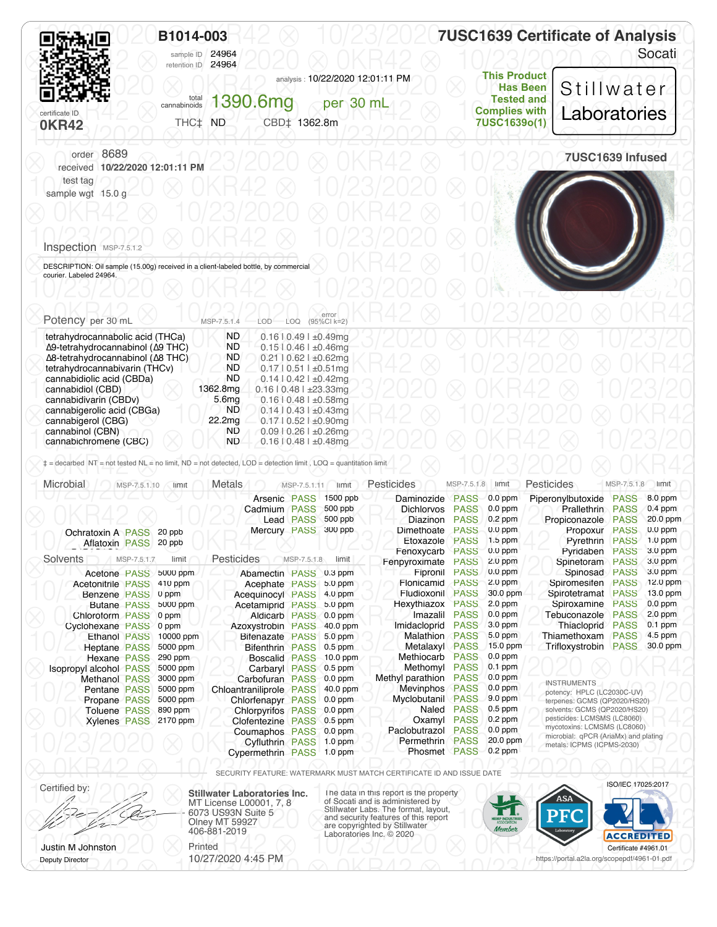|                                | B1014-003<br>retention ID 24964 | sample ID 24964       |                                                               |                                                                                                     | <b>7USC1639 Certificate of Analysis</b> |
|--------------------------------|---------------------------------|-----------------------|---------------------------------------------------------------|-----------------------------------------------------------------------------------------------------|-----------------------------------------|
| certificate ID<br><b>OKR42</b> | THC‡ ND                         | cannabinoids 1390.6mg | analysis: 10/22/2020 12:01:11 PM<br>per 30 mL<br>CBD‡ 1362.8m | <b>This Product</b><br><b>Has Been</b><br><b>Tested and</b><br><b>Complies with</b><br>7USC1639o(1) | Stillwater<br>Laboratories              |
| order 8689                     | received 10/22/2020 12:01:11 PM |                       |                                                               |                                                                                                     | 7USC1639 Infused                        |
| test tag<br>sample wgt 15.0 g  |                                 |                       |                                                               |                                                                                                     |                                         |
|                                |                                 |                       |                                                               |                                                                                                     |                                         |

#### 10/23/2020 ⊗ 0KR42 ⊗ 10/23/2020 ⊗ 0KR Inspection MSP-7.5.1.2

OC DESCRIPTION: Oil sample (15.00g) received in a client-labeled bottle, by commercial 8 OKR42 8 10/23/2020 10/2020 courier. Labeled 24964.

| Potency per 30 mL                                 | MSP-7.5.1.4       | error<br>(95%CI k=2)<br>LOD.<br>LOQ |  |  |
|---------------------------------------------------|-------------------|-------------------------------------|--|--|
| tetrahydrocannabolic acid (THCa)                  | <b>ND</b>         | $0.16$   $0.49$   $\pm 0.49$ mg     |  |  |
| Δ9-tetrahydrocannabinol (Δ9 THC)                  | ND.               | $0.1510.461 \pm 0.46$ mg            |  |  |
| $\Delta$ 8-tetrahydrocannabinol ( $\Delta$ 8 THC) | ND.               | $0.21$   $0.62$   $\pm 0.62$ mg     |  |  |
| tetrahydrocannabivarin (THCv)                     | <b>ND</b>         | $0.17$   $0.51$   $\pm 0.51$ mg     |  |  |
| cannabidiolic acid (CBDa)                         | ND.               | $0.14$   0.42   $\pm 0.42$ mg       |  |  |
| cannabidiol (CBD)                                 | 1362.8mg          | $0.16$   $0.48$   $\pm 23.33$ mg    |  |  |
| cannabidivarin (CBDv)                             | 5.6 <sub>mg</sub> | $0.16$   $0.48$   $\pm 0.58$ mg     |  |  |
| cannabigerolic acid (CBGa)                        | ND.               | $0.14$   $0.43$   $\pm 0.43$ mq     |  |  |
| cannabigerol (CBG)                                | 22.2mg            | $0.17$   $0.52$   $\pm 0.90$ mg     |  |  |
| cannabinol (CBN)                                  | ND                | $0.09$   0.26   ±0.26mg             |  |  |
| cannabichromene (CBC)                             | ND.               | $0.16$   0.48   $\pm 0.48$ mg       |  |  |

| Microbial                | MSP-7.5.1.10        | limit                 | <b>Metals</b>             | MSP-7.5.1.11     | limit      | Pesticides          | MSP-7.5.1.8 | limit     | <b>Pesticides</b>                                          | MSP-7.5.1.8                | limit      |  |
|--------------------------|---------------------|-----------------------|---------------------------|------------------|------------|---------------------|-------------|-----------|------------------------------------------------------------|----------------------------|------------|--|
|                          |                     |                       | Arsenic PASS              |                  | 1500 ppb   | Daminozide          | <b>PASS</b> | $0.0$ ppm | Piperonylbutoxide                                          | <b>PASS</b>                | 8.0 ppm    |  |
|                          |                     |                       | Cadmium PASS              |                  | 500 ppb    | <b>Dichlorvos</b>   | <b>PASS</b> | $0.0$ ppm | <b>Prallethrin</b>                                         | <b>PASS</b>                | $0.4$ ppm  |  |
|                          |                     |                       |                           | <b>Lead PASS</b> | 500 ppb    | Diazinon            | <b>PASS</b> | $0.2$ ppm | Propiconazole                                              | <b>PASS</b>                | 20.0 ppm   |  |
| <b>Ochratoxin A PASS</b> |                     | 20 ppb                | Mercury PASS              |                  | 300 ppb    | Dimethoate          | <b>PASS</b> | $0.0$ ppm | Propoxur                                                   | <b>PASS</b>                | $0.0$ ppm  |  |
| Aflatoxin PASS 20 ppb    |                     |                       |                           |                  |            | Etoxazole           | <b>PASS</b> | $1.5$ ppm | Pyrethrin                                                  | <b>PASS</b>                | $1.0$ ppm  |  |
|                          |                     |                       |                           |                  |            | Fenoxycarb          | <b>PASS</b> | $0.0$ ppm | Pvridaben                                                  | <b>PASS</b>                | 3.0 ppm    |  |
| Solvents                 | MSP-7.5.1.7         | limit                 | <b>Pesticides</b>         | MSP-7.5.1.8      | limit      | Fenpyroximate       | <b>PASS</b> | $2.0$ ppm | Spinetoram                                                 | <b>PASS</b>                | 3.0 ppm    |  |
| Acetone PASS             |                     | 5000 ppm              | Abamectin PASS 0.3 ppm    |                  |            | Fipronil            | <b>PASS</b> | $0.0$ ppm | Spinosad                                                   | <b>PASS</b>                | 3.0 ppm    |  |
| <b>Acetonitrile PASS</b> |                     | 410 ppm               | Acephate PASS             |                  | $5.0$ ppm  | Flonicamid          | <b>PASS</b> | $2.0$ ppm | Spiromesifen                                               | <b>PASS</b>                | $12.0$ ppm |  |
| Benzene PASS             |                     | 0 ppm                 | Acequinocyl PASS          |                  | 4.0 ppm    | Fludioxonil         | <b>PASS</b> | 30.0 ppm  | Spirotetramat                                              | <b>PASS</b>                | $13.0$ ppm |  |
|                          | <b>Butane PASS</b>  | 5000 ppm              | Acetamiprid PASS          |                  | 5.0 ppm    | Hexythiazox         | <b>PASS</b> | $2.0$ ppm | Spiroxamine                                                | <b>PASS</b>                | $0.0$ ppm  |  |
| Chloroform PASS          |                     | 0 ppm                 | <b>Aldicarb PASS</b>      |                  | $0.0$ ppm  | Imazalil            | <b>PASS</b> | $0.0$ ppm | Tebuconazole                                               | <b>PASS</b>                | $2.0$ ppm  |  |
| Cyclohexane PASS         |                     | 0 ppm                 | Azoxystrobin PASS         |                  | 40.0 ppm   | Imidacloprid        | <b>PASS</b> | 3.0 ppm   | Thiacloprid                                                | <b>PASS</b>                | $0.1$ ppm  |  |
|                          | <b>Ethanol PASS</b> | 10000 ppm             | Bifenazate PASS           |                  | $5.0$ ppm  | Malathion           | <b>PASS</b> | $5.0$ ppm | Thiamethoxam                                               | <b>PASS</b>                | 4.5 ppm    |  |
| <b>Heptane PASS</b>      |                     | 5000 ppm              | Bifenthrin PASS 0.5 ppm   |                  |            | Metalaxyl           | <b>PASS</b> | 15.0 ppm  | Trifloxystrobin                                            | <b>PASS</b>                | 30.0 ppm   |  |
| Hexane PASS              |                     | 290 ppm               | Boscalid PASS             |                  | $10.0$ ppm | Methiocarb          | <b>PASS</b> | $0.0$ ppm |                                                            |                            |            |  |
| Isopropyl alcohol PASS   |                     | 5000 ppm              | Carbaryl PASS 0.5 ppm     |                  |            | Methomyl            | <b>PASS</b> | $0.1$ ppm |                                                            |                            |            |  |
| <b>Methanol PASS</b>     |                     | 3000 ppm              | Carbofuran PASS           |                  | $0.0$ ppm  | Methyl parathion    | <b>PASS</b> | $0.0$ ppm | <b>INSTRUMENTS</b>                                         |                            |            |  |
| <b>Pentane PASS</b>      |                     | 5000 ppm              | Chloantraniliprole PASS   |                  | $40.0$ ppm | Mevinphos           | <b>PASS</b> | $0.0$ ppm | potency: HPLC (LC2030C-UV)                                 |                            |            |  |
| Propane PASS             |                     | 5000 ppm              | Chlorfenapyr PASS         |                  | $0.0$ ppm  | Myclobutanil        | <b>PASS</b> | $9.0$ ppm | terpenes: GCMS (QP2020/HS20)                               |                            |            |  |
| <b>Toluene PASS</b>      |                     | 890 ppm               | <b>Chlorpyrifos PASS</b>  |                  | $0.0$ ppm  | Naled               | <b>PASS</b> | $0.5$ ppm | solvents: GCMS (QP2020/HS20)                               |                            |            |  |
|                          |                     | Xylenes PASS 2170 ppm | Clofentezine PASS 0.5 ppm |                  |            | Oxamyl              | <b>PASS</b> | $0.2$ ppm | pesticides: LCMSMS (LC8060)<br>mycotoxins: LCMSMS (LC8060) |                            |            |  |
|                          |                     |                       | Coumaphos PASS            |                  | $0.0$ ppm  | Paclobutrazol       | <b>PASS</b> | $0.0$ ppm | microbial: qPCR (AriaMx) and plating                       |                            |            |  |
|                          |                     |                       | <b>Cyfluthrin PASS</b>    |                  | $1.0$ ppm  | Permethrin          | <b>PASS</b> | 20.0 ppm  |                                                            | metals: ICPMS (ICPMS-2030) |            |  |
|                          |                     |                       | Cypermethrin PASS 1.0 ppm |                  |            | <b>Phosmet PASS</b> |             | $0.2$ ppm |                                                            |                            |            |  |

⨂ 0KR42 ⨂ 10/23/2020 ⨂ 0KR42 ⨂ 10/23/2020 ⨂ 0KR42 ⨂ SECURITY FEATURE: WATERMARK MUST MATCH CERTIFICATE ID AND ISSUE DATE

Certified by: **Stillwater Laboratories Inc.** MT License L00001, 7, 8 6073 US93N Suite 5 Olney MT 59927 406-881-2019

Certified by:<br>
MT License L00001, 7, 8<br>
MT License L00001, 7, 8<br>
Stillwater Labs. The format, layout,<br>
Stillwater Labs. The format, layout, <u>Communications</u> Communications Suite 5<br>
Olney MT 59927<br>
406-881-2019<br>
Laboratories Inc. © 2020<br>
Laboratories Inc. © 2020 Certificate #4961.01 ISO/IEC 17025:2017

 $\bigotimes_{i=1}^{\infty}$  or  $\bigotimes_{i=1}^{\infty}$  10/23/2020  $\bigotimes_{i=1}^{\infty}$  10/23/2020  $\bigotimes_{i=1}^{\infty}$ https://portal.a2la.org/scopepdf/4961-01.pdf



Deputy Director

 $\frac{10}{20}$ Justin M Johnston **Printed** 10/27/2020 4:45 PM